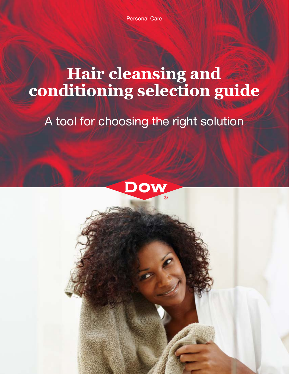Personal Care

# **Hair cleansing and conditioning selection guide**

## A tool for choosing the right solution

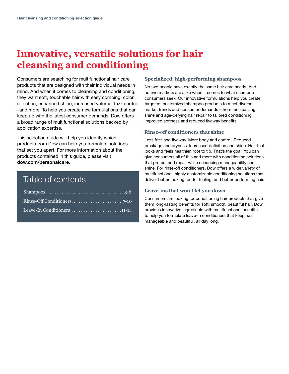### **Innovative, versatile solutions for hair cleansing and conditioning**

Consumers are searching for multifunctional hair care products that are designed with their individual needs in mind. And when it comes to cleansing and conditioning, they want soft, touchable hair with easy combing, color retention, enhanced shine, increased volume, frizz control – and more! To help you create new formulations that can keep up with the latest consumer demands, Dow offers a broad range of multifunctional solutions backed by application expertise.

This selection guide will help you identify which products from Dow can help you formulate solutions that set you apart. For more information about the products contained in this guide, please visit [dow.com/personalcare](http://www.dow.com/personalcare).

### Table of contents

| Leave-In Conditioners 11-14 |  |
|-----------------------------|--|

### **Specialized, high-performing shampoos**

No two people have exactly the same hair care needs. And no two markets are alike when it comes to what shampoo consumers seek. Our innovative formulations help you create targeted, customized shampoo products to meet diverse market trends and consumer demands – from moisturizing, shine and age-defying hair repair to tailored conditioning, improved softness and reduced flyaway benefits.

### **Rinse-off conditioners that shine**

Less frizz and flyaway. More body and control. Reduced breakage and dryness. Increased definition and shine. Hair that looks and feels healthier, root to tip. That's the goal. You can give consumers all of this and more with conditioning solutions that protect and repair while enhancing manageability and shine. For rinse-off conditioners, Dow offers a wide variety of multifunctional, highly customizable conditioning solutions that deliver better looking, better feeling, and better performing hair.

### **Leave-ins that won't let you down**

Consumers are looking for conditioning hair products that give them long-lasting benefits for soft, smooth, beautiful hair. Dow provides innovative ingredients with multifunctional benefits to help you formulate leave-in conditioners that keep hair manageable and beautiful, all day long.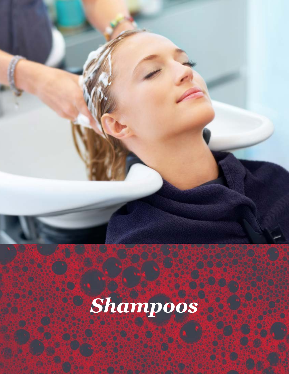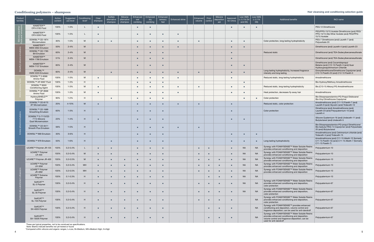### Hair cleansing and conditioning selection guide

### **Conditioning polymers – shampoos**

| Product<br>families | Products                                                                     | Active<br>content | Suggested<br>use level | Conditioning<br>level* | Clear<br>shampoo | Sulfate<br>alternative<br>shampoo | Silicone<br>alternative<br>shampoo | Enhanced<br>wet<br>combing | Enhanced<br>dry<br>combing | Enhanced<br>sensory<br>feel | Enhanced shine | Enhanced<br>volume | Frizz<br>control | Silicone<br>deposition<br>aid | Approved<br>for China | Low VMS<br>$< 0.1\% \text{ D4}$<br>and D5) | Low VMS<br>$(< 0.1\%$<br>D6) | <b>Additional benefits</b>                                                                                                                                                   | <b>INCI name</b>                                                                                                          |
|---------------------|------------------------------------------------------------------------------|-------------------|------------------------|------------------------|------------------|-----------------------------------|------------------------------------|----------------------------|----------------------------|-----------------------------|----------------|--------------------|------------------|-------------------------------|-----------------------|--------------------------------------------|------------------------------|------------------------------------------------------------------------------------------------------------------------------------------------------------------------------|---------------------------------------------------------------------------------------------------------------------------|
|                     | XIAMETER™<br>OFX-0193 Fluid                                                  | 100%              | $1 - 3%$               |                        |                  |                                   |                                    | ٠                          |                            |                             |                |                    |                  |                               |                       |                                            |                              |                                                                                                                                                                              | PEG-12 Dimethicone                                                                                                        |
|                     | XIAMETER™<br>OFX-5330 Fluid                                                  | 100%              | $1 - 3%$               |                        |                  |                                   |                                    | ш                          | ٠                          | п                           | $\blacksquare$ |                    |                  |                               |                       |                                            |                              |                                                                                                                                                                              | PEG/PPG-15/15 Acetate Dimethicone (and) PEG/<br>PPG-15/15 Allyl Ether Acetate (and) PEG/PPG-<br>15/15 Acetate             |
|                     | DOWSIL™ CE-1874<br>Microemulsion                                             | 30%               | $1 - 5%$               | M                      |                  | п.                                |                                    | $\blacksquare$             | ٠                          | ▬                           | ٠              |                    |                  |                               | л                     | п                                          |                              | Color protection, long-lasting hydrophobicity                                                                                                                                | PEG-7 Dimethicone (and) Laureth-7 (and)<br>Polysorbate 20                                                                 |
|                     | XIAMETER™<br>MEM-2664 Emulsion                                               | 50%               | $2 - 4%$               | M                      |                  |                                   |                                    | п                          |                            |                             | п              |                    |                  |                               | п                     | ш                                          |                              |                                                                                                                                                                              | Dimethicone (and) Laureth-4 (and) Laureth-23                                                                              |
|                     | DOWSIL™ CE-1785<br><b>BA Emulsion</b>                                        | 60%               | $2 - 4%$               | M                      |                  |                                   |                                    | п                          | ▬                          | ■                           |                |                    |                  |                               | п                     |                                            |                              | <b>Reduced static</b>                                                                                                                                                        | Dimethiconol (and) TEA-Dodecylbenzenesulfonate                                                                            |
|                     | XIAMETER™<br>MEM-1788 Emulsion                                               | 51%               | $2 - 4%$               | M                      |                  |                                   |                                    | $\blacksquare$             | п                          | п                           |                |                    |                  |                               | п                     |                                            |                              |                                                                                                                                                                              | Dimethiconol (and) TEA-Dodecylbenzenesulfonate                                                                            |
|                     | XIAMETER™<br>MEM-7137 Emulsion                                               | 65%               | $2 - 4%$               | M                      |                  |                                   |                                    | ш                          | п                          | п                           |                |                    |                  |                               | л                     | ٠                                          |                              |                                                                                                                                                                              | Dimethicone (and) Cocamidopropyl<br>Betaine (and) C12-15 Pareth-3 (and) Guar<br>Hydroxypropyltrimonium Chloride           |
|                     | <b>DOWSIL™</b><br>HMW 2220 Emulsion                                          | 60%               | $2 - 4%$               | M                      |                  | л.                                |                                    | ٠                          | ٠                          | п                           | ٠              | п                  |                  |                               | л                     | п                                          |                              | Long-lasting hydrophobicity, Increased fragrance<br>intensity and long lasting                                                                                               | Divinyldimethicone/Dimethicone Copolymer (and)<br>C12-13 Pareth-23 (and) C12-13 Pareth-3                                  |
|                     | DOWSIL™ 2-8566<br>Amino Fluid                                                | 100%              | $1 - 3%$               | M                      |                  |                                   |                                    | $\blacksquare$             | ٠                          | п                           | ٠              |                    |                  |                               | ×                     |                                            |                              | Reduced static, long-lasting hydrophobicity                                                                                                                                  | Amodimethicone                                                                                                            |
|                     | DOWSIL™ AP-8087 Fluid                                                        | 100%              | $1 - 3%$               | H                      |                  |                                   |                                    | л.                         | ٠                          | п                           |                |                    |                  |                               |                       | л.                                         |                              |                                                                                                                                                                              | Bis-Hydroxy/Methoxy Amodimethicone                                                                                        |
|                     | DOWSIL™ 8500<br><b>Conditioning Agent</b>                                    | 100%              | $1 - 3%$               | M                      |                  |                                   |                                    | ш                          | ٠                          |                             | ٠              | п                  |                  |                               | $\blacksquare$        | п                                          |                              | Reduced static, long-lasting hydrophobicity                                                                                                                                  | Bis (C13-15 Alkoxy) PG Amodimethicone                                                                                     |
|                     | DOWSIL™ AP-8568<br>Amino Fluid                                               | 100%              | $1 - 3%$               | M                      |                  |                                   |                                    | $\blacksquare$             | ٠                          |                             | ٠              |                    |                  |                               |                       | ٠                                          |                              | Heat protection, decreases fly-away hair                                                                                                                                     | Amodimethicone                                                                                                            |
|                     | HydroxySHIELD™<br>Polymer                                                    | 90%               | $1 - 2%$               | H                      |                  | л.                                |                                    | $\blacksquare$             |                            |                             |                |                    |                  |                               |                       | ٠                                          |                              | Color protection                                                                                                                                                             | Bis-Diisopropanolamino-PG-Propyl Disiloxane/<br><b>Bis-Vinyl Dimethicone Copolymer</b>                                    |
|                     | DOWSIL™ CE-8170<br>AF Microemulsion                                          | 20%               | 4-10%                  | M                      | п                |                                   |                                    | ш                          | п                          | п                           | п              | п                  |                  |                               | $\blacksquare$        |                                            |                              | Reduced static, color protection                                                                                                                                             | Amodimethicone (and) C11-15 Pareth-7 (and)<br>Laureth-9 (and) Glycerin (and) Trideceth-12                                 |
|                     | DOWSIL™ CE-1689<br><b>Smoothing Emulsion</b>                                 | 60%               | $1 - 3%$               | H                      |                  |                                   |                                    | п                          | П                          | п                           |                |                    |                  |                               | л                     |                                            |                              | Color protection                                                                                                                                                             | Dimethicone (and) Amodimethicone (and)<br>Laureth-23 (and) Polyquaternium-10 (and)<br>Laureth-4                           |
|                     | DOWSIL <sup>™</sup> 5-7113/CE-<br>7114 Silicone<br><b>Quat Microemulsion</b> | 22%               | $1 - 4%$               | H                      | п                |                                   |                                    | п                          |                            | п                           |                |                    |                  |                               | п                     | П                                          |                              |                                                                                                                                                                              | Silicone Quaternium-16 (and) Undeceth-11 (and)<br>Butyloctanol (and) Undeceth-5                                           |
|                     | DOWSIL™ CE-8411<br><b>Smooth Plus Emulsion</b>                               | 56%               | $1 - 5%$               | H                      |                  |                                   |                                    | п                          | П                          | п                           | п              | п                  |                  |                               |                       |                                            |                              |                                                                                                                                                                              | Bis-Diisopropanolamino-PG-propyl Dimethicone/<br>Bis-Isobutyl PEG-14 Copolymer (and) Polysorbate<br>20 (and) Butyloctanol |
|                     | DOWSIL <sup>™</sup> 969 Emulsion                                             | 30%               | $3 - 6%$               | H                      |                  |                                   |                                    | л                          | п                          | п                           |                |                    |                  |                               | $\blacksquare$        | п                                          |                              |                                                                                                                                                                              | Amodimethicone (and) Cetrimonium chloride (and)<br>Trideceth-3 (and) Trideceth-15                                         |
|                     | DOWSIL <sup>™</sup> 979 Emulsion                                             | 50%               | $1 - 6%$               | H                      |                  | $\blacksquare$                    |                                    | п                          |                            | п                           |                |                    |                  |                               | п                     | п                                          |                              | Long-lasting hydrophobicity                                                                                                                                                  | Amodimethicone (and) C11-15 Alketh-12 (formerly<br>C11-15 Pareth-12) (and) C11-15 Alketh-7 (formerly<br>C11-15 Pareth-7)  |
|                     | UCARE <sup>™</sup> Polymer JR-125                                            | 100%              | $0.2 - 0.4%$           |                        |                  | п.                                |                                    | п                          | п                          | п                           |                | п                  |                  |                               | п                     | <b>NA</b>                                  | <b>NA</b>                    | Synergy with FOAMYSENSE™ Water Soluble Resins<br>provides enhanced conditioning and deposition                                                                               | Polyquaternium-10                                                                                                         |
|                     | UCARE <sup>™</sup> Polymer<br>LR-400                                         | 100%              | $0.2 - 0.4%$           | M                      |                  | л                                 |                                    | п                          |                            |                             |                |                    |                  |                               | л                     | <b>NA</b>                                  | <b>NA</b>                    | Synergy with FOAMYSENSE <sup>™</sup> Water Soluble Resins<br>provides enhanced conditioning and deposition                                                                   | Polyquaternium-10                                                                                                         |
|                     | UCARE <sup>™</sup> Polymer JR-400                                            | 100%              | $0.2 - 0.5%$           | M                      | п                | ٠                                 | ٠                                  | $\blacksquare$             | п                          | п                           |                | ٠                  |                  |                               | $\blacksquare$        | <b>NA</b>                                  | <b>NA</b>                    | Synergy with FOAMYSENSE™ Water Soluble Resins<br>provides enhanced conditioning and deposition                                                                               | Polyquaternium-10                                                                                                         |
|                     | <b>UCARE™ Polymer</b><br>$LR-30M$                                            | 100%              | $0.2 - 0.4%$           | MH                     |                  | л.                                | ٠                                  | $\blacksquare$             | п                          | п                           |                | $\blacksquare$     |                  |                               | п.                    | <b>NA</b>                                  | <b>NA</b>                    | Synergy with FOAMYSENSE™ Water Soluble Resins<br>provides enhanced conditioning and deposition                                                                               | Polyquaternium-10                                                                                                         |
|                     | UCARE <sup>™</sup> Polymer<br><b>JR-30M</b>                                  | 100%              | $0.2 - 0.5%$           | MH                     |                  | п.                                | $\blacksquare$                     | $\blacksquare$             | п                          | п                           |                | ٠                  |                  |                               | $\blacksquare$        | <b>NA</b>                                  | <b>NA</b>                    | Synergy with FOAMYSENSE™ Water Soluble Resins<br>provides enhanced conditioning and deposition                                                                               | Polyquaternium-10                                                                                                         |
|                     | <b>UCARE™ Extreme</b><br>Polymer                                             | 100%              | $0.1 - 0.3\%$          | H                      |                  | п.                                | ٠                                  | ٠                          | п                          | п                           |                |                    |                  |                               | $\blacksquare$        | <b>NA</b>                                  | <b>NA</b>                    |                                                                                                                                                                              | Polyquaternium-10                                                                                                         |
|                     | SoftCAT™<br>SL-5 Polymer                                                     | 100%              | $0.2 - 0.4%$           | H                      |                  | л.                                | ٠                                  | п                          | п                          | п.                          |                | ٠                  |                  |                               | п.                    | <b>NA</b>                                  | <b>NA</b>                    | Synergy with FOAMYSENSE™ Water Soluble Resins<br>provides enhanced conditioning and deposition,<br>color protection                                                          | Polyquaternium-67                                                                                                         |
|                     | SoftCAT™<br>SL-30 Polymer                                                    | 100%              | $0.2 - 0.4%$           | H                      | п                | л.                                | $\blacksquare$                     | $\blacksquare$             | п                          | $\blacksquare$              |                | ٠                  |                  |                               | $\blacksquare$        | <b>NA</b>                                  | <b>NA</b>                    | Synergy with FOAMYSENSE™ Water Soluble Resins<br>provides enhanced conditioning and deposition,<br>color protection                                                          | Polyquaternium-67                                                                                                         |
|                     | SoftCAT™<br>SL-100 Polymer                                                   | 100%              | $0.2 - 0.4%$           | H                      |                  | л.                                | ٠                                  | $\blacksquare$             | п                          | <b>E</b>                    |                | п                  |                  |                               | $\blacksquare$        |                                            | <b>NA</b>                    | Synergy with FOAMYSENSE™ Water Soluble Resins<br>provides enhanced conditioning and deposition,<br>color protection                                                          | Polyquaternium-67                                                                                                         |
|                     | SoftCAT™<br>SX-400X Polymer                                                  | 100%              | $0.2 - 0.4%$           | H                      | п                | л.                                | $\blacksquare$                     | $\blacksquare$             | п                          | $\blacksquare$              |                |                    | л.               |                               | $\blacksquare$        |                                            | <b>NA</b>                    | Synergy with FOAMYSENSE™ provides enhanced<br>conditioning and deposition, volume control and<br>fragrance deposition; can be used for anti-dandruff                         | Polyquaternium-67                                                                                                         |
|                     | SoftCAT™<br>SX-1300X Polymer                                                 | 100%              | $0.2 - 0.4%$           | H                      |                  | л.                                | ٠                                  | $\blacksquare$             | $\blacksquare$             | <b>E</b>                    |                |                    |                  |                               | $\blacksquare$        |                                            | <b>NA</b>                    | Synergy with FOAMYSENSE™ Water Soluble Resins<br>provides enhanced conditioning and deposition,<br>volume control and fragrance deposition; can be<br>used for anti-dandruff | Polyquaternium-67                                                                                                         |

These are typical properties, not to be construed as specifications. Note: Blanks indicate benefits not yet tested or found

\*Compared within silicone and organic ranges; L=Low, M=Medium, MH=Medium High, H=High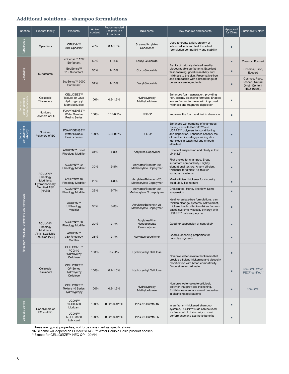### **Additional solutions – shampoo formulations**

| Function                             | Product family                            | Products                                                          | Active<br>content    | Recommended<br>use level in a<br>formulation | <b>INCI name</b>                                   | Key features and benefits                                                                                                                                                                                                                    | Approved<br>for China | Sutainability claim                                                        |
|--------------------------------------|-------------------------------------------|-------------------------------------------------------------------|----------------------|----------------------------------------------|----------------------------------------------------|----------------------------------------------------------------------------------------------------------------------------------------------------------------------------------------------------------------------------------------------|-----------------------|----------------------------------------------------------------------------|
| Appearance                           | Opacifiers                                | <b>OPULYN™</b><br>301 Opacifier                                   | 40%                  | $0.1 - 1.0%$                                 | Styrene/Acrylates<br>Copolymer                     | Used to create a rich, creamy or<br>lotionized look and feel. Excellent<br>formulation compatibility and stability                                                                                                                           | п                     |                                                                            |
|                                      |                                           | EcoSense <sup>™</sup> 1200<br>Surfactant                          | 50%                  | 1-15%                                        | Lauryl Glucoside                                   | Family of naturally derived, readily                                                                                                                                                                                                         | ٠                     | Cosmos, Ecocert                                                            |
| Cleansing                            | Surfactants                               | EcoSense™<br>919 Surfactant                                       | 50%                  | 1-15%                                        | Coco-Glucoside                                     | biodegradable surfactants. Excellent<br>flash foaming, good rinseability and<br>mildness to the skin. Preservative-free                                                                                                                      | п                     | Cosmos, Rspo,<br>Ecocert                                                   |
|                                      |                                           | EcoSense <sup>™</sup> 3000<br>Surfactant                          | 51%                  | 1-15%                                        | Decyl Glucoside                                    | and compatible with a broad range of<br>personal care ingredients                                                                                                                                                                            | п                     | Cosmos, Rspo,<br>Ecocert. Natural<br><b>Origin Content</b><br>(ISO 16128), |
|                                      | Cellulosic<br>Thickeners                  | CELLOSIZE™<br>Texture 40-0202<br>Hydroxypropyl<br>Methylcellulose | 100%                 | $0.2 - 1.5%$                                 | Hydroxypropyl<br>Methylcellulose                   | Enhances foam generation, providing<br>rich, creamy cleansing formulas. Enables<br>low surfactant formulas with improved<br>mildness and fragrance deposition                                                                                | п                     |                                                                            |
|                                      | Nonionic<br>Polymers of EO                | FOAMYSENSE™<br>Water Soluble<br><b>Resins Series</b>              | 100%                 | $0.05 - 0.2%$                                | PEG-X*                                             | Improves the foam and feel in shampoo                                                                                                                                                                                                        | ٠                     |                                                                            |
| Sensory<br>enhancement-<br>lubricity | Nonionic<br>Polymers of EO                | FOAMYSENSE™<br><b>Water Soluble</b><br><b>Resins Series</b>       | 100%                 | $0.05 - 0.2%$                                | $PEG-X^*$                                          | Enhances wet combing of shampoos.<br>Synergistic with SoftCAT™ and<br>UCARE™ polymers for conditioning<br>and deposition. Enhances sensory feel<br>of product, including providing slip/<br>lubricious in-wash feel and smooth<br>after-feel | ■                     |                                                                            |
|                                      |                                           | ACULYN™ Excel<br><b>Rheology Modifier</b>                         | 31%                  | 4-8%                                         | <b>Acrylates Copolymer</b>                         | Excellent suspension and clarity at low<br>pH (< 6.5)                                                                                                                                                                                        | п                     |                                                                            |
|                                      | ACULYN™                                   | ACULYN™ 22<br><b>Rheology Modifier</b>                            | 30%                  | $2 - 8%$                                     | Acrylates/Steareth-20<br>Methacrylate Copolymer    | First choice for shampoo. Broad<br>surfactant compatibility. Slightly<br>elongational texture. A very efficient<br>thickener for difficult-to-thicken<br>surfactant systems                                                                  | ٠                     |                                                                            |
|                                      | Rheology<br>Modifiers:<br>Hydrophobically | ACULYN™ 28<br>Rheology Modifier                                   | 20%                  | 4-8%                                         | Acrylates/Beheneth-25<br>Methacrylate Copolymer    | Most efficient thickener for viscosity<br>build. Jelly-like texture                                                                                                                                                                          | п                     |                                                                            |
|                                      | Modified ASE<br>(HASE)                    | ACULYN™ 88<br><b>Rheology Modifier</b>                            | 29%                  | $2 - 7%$                                     | Acrylates/Steareth-20<br>Methacrylate Crosspolymer | Crosslinked. Honey-like flow. Some<br>suspension                                                                                                                                                                                             | $\blacksquare$        |                                                                            |
| odifiers, thickeners and texturizers |                                           | ACULYN™<br>U Rheology<br>Modifier                                 | 30%                  | $3 - 8%$                                     | Acrylates/Beheneth-25<br>Methacrylate Copolymer    | Ideal for sulfate-free formulations, can<br>thicken clear gel systems, salt tolerant,<br>thickens hard-to-thicken AA surfactant-<br>based systems, viscosity synergy with<br>UCARE <sup>™</sup> cationic polymer                             | ▬                     |                                                                            |
|                                      | ACULYN™<br>Rheology<br>Modifiers:         | ACULYN™ 38<br><b>Rheology Modifier</b>                            | 29%                  | $2 - 7%$                                     | Acrylates/Vinyl<br>Neodecanoate<br>Crosspolymer    | Good for suspension at neutral pH                                                                                                                                                                                                            | п                     |                                                                            |
|                                      | Alkali Swellable<br>Emulsion (ASE)        | ACULYN™<br>33A Rheology<br>Modifier                               | 28%                  | $2 - 7%$                                     | Acrylates copolymer                                | Good suspending properties for<br>non-clear systems                                                                                                                                                                                          |                       |                                                                            |
| Rheology m                           |                                           | CELLOSIZE™<br><b>PCG-10</b><br>Hydroxyethyl<br>Cellulose          | 100%                 | $0.2 - 1%$                                   | Hydroxyethyl Cellulose                             | Nonionic water-soluble thickeners that<br>provide efficient thickening and viscosity                                                                                                                                                         | п                     |                                                                            |
|                                      | Cellulosic<br><b>Thickeners</b>           | CELLOSIZE™<br>QP Series<br>Hydroxyethyl<br>Cellulose              | 100%                 | $0.2 - 1.5%$                                 | Hydroxyethyl Cellulose                             | modification with broad compatibility.<br>Dispersible in cold water                                                                                                                                                                          | ٠                     | Non-GMO Wood<br>PECF certified**                                           |
|                                      |                                           | CELLOSIZE™<br>Texture 40 Series<br>Hydroxypropyl                  | 100%                 | $0.2 - 1.5%$                                 | Hydroxypropyl<br>Methylcellulose                   | Nonionic water-soluble cellulosic<br>polymer that provides thickening.<br>Exhibits foam enhancement properties<br>in cleansing applications                                                                                                  |                       | Non-GMO                                                                    |
|                                      | Copolymers of                             | <b>UCON™</b><br>50-HB-660<br>Libricant                            | 100%<br>0.025-0.125% |                                              | PPG-12-Buteth-16                                   | In surfactant-thickened shampoo<br>systems, UCON™ fluids can be used                                                                                                                                                                         | ٠                     |                                                                            |
| Viscosity control<br>EO and PO       |                                           | <b>UCON™</b><br>50-HB-3520<br>Lubricant                           | 100%                 | 0.025-0.125%                                 | PPG-28-Buteth-35                                   | for fine control of viscosity to meet<br>performance and aesthetic benefits                                                                                                                                                                  | п                     |                                                                            |

These are typical properties, not to be construed as specifications.

\*INCI name will depend on FOAMYSENSE™ Water Soluble Resin product chosen

\*\*Except for CELLOSIZE™ HEC QP-100MH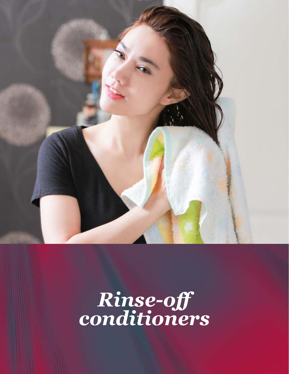

# *Rinse-off conditioners*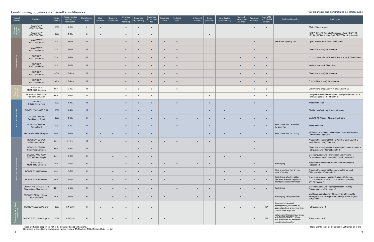### **Conditioning polymers – rinse-off conditioners**

| Product<br>families             | Products                                                   | Active<br>content | Recommended<br>use level in a<br>formulation | Conditioning<br>level* | Clear<br>systems | Cleansing<br>conditioner | Enhanced<br>wet<br>combing | Enhanced<br>dry combing | Enhanced<br>dry sensory<br>feel | Enhanced<br>shine | Reduced<br>static | Enhanced<br>volume | Color<br>protection | Long-lasting<br>hydrophobicity | Reduced<br>breakage and<br>split ends | Approved<br>for China | Low VMS<br>$< 0.1\%$ D4<br>and D5) | <b>Additional benefits</b>                                                                                            | <b>INCI name</b>                                                                                                          |
|---------------------------------|------------------------------------------------------------|-------------------|----------------------------------------------|------------------------|------------------|--------------------------|----------------------------|-------------------------|---------------------------------|-------------------|-------------------|--------------------|---------------------|--------------------------------|---------------------------------------|-----------------------|------------------------------------|-----------------------------------------------------------------------------------------------------------------------|---------------------------------------------------------------------------------------------------------------------------|
|                                 | XIAMETER™<br>OFX-0193 Fluid                                | 100%              | $1 - 3%$                                     |                        | л                |                          | $\blacksquare$             |                         | ×                               |                   |                   |                    |                     |                                |                                       |                       | л                                  |                                                                                                                       | PEG-12 Dimethicone                                                                                                        |
| Silicone<br>polyether<br>fluids | XIAMETER™<br>OFX-5330 Fluid                                | 100%              | $1 - 4%$                                     |                        | л                |                          | п                          | п                       | л                               |                   |                   |                    |                     |                                |                                       |                       |                                    |                                                                                                                       | PEG/PPG-15/15 Acetate Dimethicone (and) PEG/PPG-<br>15/15 Allyl Ether Acetate (and) PEG/PPG-15/15 Acetate                 |
|                                 | XIAMETER™<br>PMX-1501 Fluid                                | 15%               | $2 - 6%$                                     | M                      |                  |                          | $\blacksquare$             | п                       | л                               | m.                | л.                |                    |                     |                                |                                       | <b>F</b>              |                                    | Decreases fly-away hair                                                                                               | Cyclopentasiloxane (and) Dimethiconol                                                                                     |
|                                 | XIAMETER™<br>PMX-1503 Fluid                                | 12%               | $2 - 4%$                                     | M                      |                  |                          | $\blacksquare$             | п                       |                                 | <b>II</b>         | ш                 |                    |                     |                                |                                       | п.                    |                                    |                                                                                                                       | Dimethicone (and) Dimethiconol                                                                                            |
|                                 | <b>DOWSIL™</b><br>PMX-1504 Fluid                           | 27%               | $1 - 3%$                                     | M                      |                  |                          | $\blacksquare$             | п                       | л                               | л.                | ш                 |                    |                     |                                | л                                     | - 11                  | л.                                 |                                                                                                                       | C11-13 Isoparaffin (and) Isohexadecane (and) Dimethiconol                                                                 |
|                                 | DOWSIL™<br>PMX-1505 Fluid                                  | 15%               | $2 - 6%$                                     | M                      |                  |                          | $\blacksquare$             | п                       | п                               | ×.                | ×.                |                    |                     |                                | ш                                     | п.                    | <b>II</b>                          |                                                                                                                       | Isododecane (and) Dimethiconol                                                                                            |
|                                 | <b>DOWSIL™</b><br>PMX-1507 Fluid                           | 18.5%             | 1.6-4.9%                                     | M                      |                  |                          | п.                         | п                       | п                               | л.                | ш                 |                    |                     |                                | п                                     | п.                    | л.                                 |                                                                                                                       | Dimethicone (and) Dimethiconol                                                                                            |
|                                 | DOWSIL™<br>PMX-1508 Fluid                                  | 20.5%             | $1.5 - 4.4%$                                 | M                      |                  |                          | $\blacksquare$             |                         | п                               | ×.                | л.                |                    |                     |                                |                                       | п.                    | л.                                 |                                                                                                                       | C13-15 Alkane (and) Dimethiconol                                                                                          |
|                                 | XIAMETER™<br>MEM-2664 Emulsion                             | 50%               | $2 - 4%$                                     | M                      |                  |                          | $\blacksquare$             | п                       | п                               |                   | <b>III</b>        |                    |                     |                                |                                       | <b>III</b>            | $\sim$                             |                                                                                                                       | Dimethicone (and) Laureth-4 (and) Laureth-23                                                                              |
|                                 | DOWSIL™ HMW 2220<br>Non-Ionic Emulsion                     | 60%               | $1 - 3%$                                     | M                      |                  |                          | <b>F</b>                   | п                       | п                               |                   |                   |                    | л.                  |                                |                                       | <b>III</b>            | п                                  |                                                                                                                       | Divinyldimethicone/Dimethicone Copolymer (and) C12-13<br>Pareth-23 (and) C12-13 Pareth-3                                  |
|                                 | DOWSIL™<br>2-8566 Amino Fluid                              | 100%              | $1 - 4%$                                     | M                      |                  |                          | $\blacksquare$             | п                       | п                               |                   | $\blacksquare$    |                    | п.                  |                                |                                       | п.                    |                                    |                                                                                                                       | Amodimethicone                                                                                                            |
|                                 | DOWSIL™ AP-8087 Fluid                                      | 100%              | $1 - 4%$                                     | M                      |                  |                          | <b>F</b>                   | п                       | п                               |                   |                   |                    | $\blacksquare$      | п                              |                                       |                       | п                                  |                                                                                                                       | Bis-Hydroxy/Methoxy Amodimethicone                                                                                        |
|                                 | DOWSIL™ 8500<br><b>Conditioning Agent</b>                  | 100%              | $1 - 2%$                                     | н                      | - 11             |                          | $\blacksquare$             | $\blacksquare$          | п                               | ×                 | $\blacksquare$    | п                  | п.                  | п                              |                                       | п.                    | ×                                  |                                                                                                                       | Bis (C13-15 Alkoxy) PG Amodimethicone                                                                                     |
|                                 | DOWSIL™ AP-8568<br>Amino Fluid                             | 100%              | $1 - 4%$                                     | M                      |                  |                          | $\blacksquare$             | п                       | п                               |                   | л.                |                    | п.                  |                                |                                       | п.                    | ×                                  | Heat protection, decreases<br>fly-away hair                                                                           | Amodimthicone                                                                                                             |
|                                 | HydroxySHIELD™ Polymer                                     | 90%               | $1 - 2%$                                     | H.                     | п                | л                        | ×.                         | л                       | п                               |                   |                   |                    | л.                  | ×                              | $\blacksquare$                        |                       | л.                                 | Heat protection, fast drying                                                                                          | Bis-Diisopropanolamino-PG-Propyl Disiloxane/Bis-Vinyl<br>Dimethicone Copolymer                                            |
|                                 | DOWSIL™ CE-8170<br>AF Microemulsion                        | 20%               | 2-10%                                        | M                      | п                |                          | $\blacksquare$             | п                       | п                               | $\blacksquare$    | л.                | $\blacksquare$     | л.                  |                                |                                       | $\Box$                |                                    |                                                                                                                       | Amodimethicone (and) C11-15 Pareth-7 (and) Laureth-9<br>(and) Glycerin (and) Trideceth-12                                 |
|                                 | DOWSIL™ CE-1689<br><b>Smoothing Emulsion</b>               | 60%               | $1 - 3%$                                     | M                      |                  |                          |                            | п                       | п                               |                   |                   |                    |                     |                                |                                       | л.                    |                                    |                                                                                                                       | Dimethicone (and) Amodimethicone (and) Laureth-23 (and)<br>Polyquaternium-10 (and) Laureth-4                              |
|                                 | DOWSIL™ CE-7081/<br>CE-7080 Smart Style                    | 24%               | $2 - 8%$                                     | H                      |                  | $\blacksquare$           | $\blacksquare$             | <b>F</b>                | - 11                            |                   |                   |                    | п.                  | п                              | ш                                     |                       |                                    |                                                                                                                       | Silicone Quaternium-16/Glycidoxy Dimethicone<br>Crosspolymer (and) Undeceth-11 (and) Undeceth-5                           |
|                                 | XIAMETER™<br>MEM-0949 Emulsion                             | 36%               | $2 - 6%$                                     | н                      |                  |                          | п.                         | л.                      | п                               | <b>COL</b>        | л.                | ш                  | and the             |                                |                                       | л.                    |                                    | Fast drying                                                                                                           | Amodimethicone (and) Cetrimonium Chloride (and)<br>Trideceth-12                                                           |
|                                 | DOWSIL™ 969 Emulsion                                       | 30%               | $3 - 7%$                                     | H                      |                  | $\mathbf{u}$             | $\blacksquare$             | $\blacksquare$          | п                               | л.                |                   |                    |                     | п                              |                                       | л.                    | m.                                 | Heat protection, fast drying,<br>ease of styling                                                                      | Amodimethicone (and) Cetrimonium chloride (and)<br>Trideceth-3 (and) Trideceth-15                                         |
|                                 | DOWSIL™ 979 Emulsion                                       | 50%               | $1 - 6%$                                     | н                      |                  | $\blacksquare$           | п                          | п                       |                                 | <b>II</b>         |                   |                    |                     | л                              | п                                     | $\Box$                | $\mathbf{H}$ .                     | Fast drying, effective at low<br>use level, effective deposition,<br>homogeneous hair coverage                        | Amodimethicone (and) C11-15 Alketh-12 (formerly<br>C11-15 Pareth-12) (and) C11-15 Alketh-7 (formerly<br>C11-15 Pareth-7)  |
|                                 | DOWSIL™ 5-7113/CE-7114<br>Silicone Quat Microemulsion      | 22%               | $2 - 6%$                                     | Н.                     | л                | $\mathbf{u}$             | л.                         | л.                      | п                               |                   | л.                | ш                  | л.                  |                                | п                                     | $\blacksquare$        | л.                                 | Fast drying                                                                                                           | Silicone Quaternium-16 (and) Undeceth-11 (and)<br>Butyloctanol (and) Undeceth-5                                           |
|                                 | DOWSIL <sup>™</sup> CE-8411 Smooth<br><b>Plus Emulsion</b> | 56%               | $1 - 5%$                                     | н                      |                  | $\blacksquare$           | п                          | п                       | п                               | ×.                |                   | $\blacksquare$     | п.                  |                                | л                                     |                       |                                    | Fast drying, heat protection                                                                                          | Bis-Diisopropanolamino-PG-propyl Dimethicone/Bis-<br>Isobutyl PEG-14 Copolymer (and) Polysorbate 20 (and)<br>Butyloctanol |
|                                 | UCARE™ Extreme Polymer                                     | 100%              | $0.1 - 0.3\%$                                | н                      | <b>II</b>        | $\blacksquare$           | <b>II</b>                  | $\blacksquare$          | <b>III</b>                      |                   |                   |                    |                     | ш                              | п.                                    | л.                    | <b>NA</b>                          | Improved styling and<br>manageability, enhanced oil<br>deposition, heat protection, frizz<br>control, fiber alignment | Polyquaternium-10                                                                                                         |
|                                 | SoftCAT™ SX-1300X Polymer                                  | 100%              | $0.2 - 0.4%$                                 | H                      | л                | ×                        | п                          | ш                       | л                               | <b>Filte</b>      |                   |                    |                     |                                |                                       |                       | <b>NA</b>                          | Volume and frizz control, synergy<br>with FOAMYSENSE™ Water<br>Soluble Resins for enhanced<br>conditioning benefits   | Polyquaternium-67                                                                                                         |

These are typical properties, not to be construed as specifications. Note: Blanks indicate benefits not yet tested or found  $\blacksquare$ 

\*Compared within silicone and organic ranges; L=Low, M=Medium, MH=Medium High, H=High

### Hair cleansing and conditioning selection guide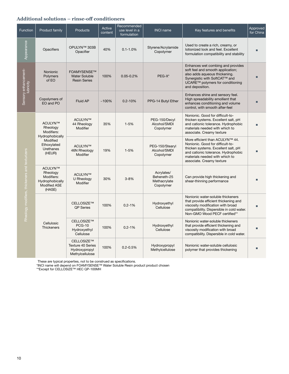### **Additional solutions – rinse-off conditioners**

| Function                                       | Product family                                                                 | Products                                                            | Active<br>content | Recommended<br>use level in a<br>formulation | <b>INCI name</b>                                       | Key features and benefits                                                                                                                                                                                        | Approved<br>for China |
|------------------------------------------------|--------------------------------------------------------------------------------|---------------------------------------------------------------------|-------------------|----------------------------------------------|--------------------------------------------------------|------------------------------------------------------------------------------------------------------------------------------------------------------------------------------------------------------------------|-----------------------|
| Appearance                                     | <b>Opacifiers</b>                                                              | OPULYN™ 303B<br>Opacifier                                           | 40%               | $0.1 - 1.0%$                                 | Styrene/Acrylamide<br>Copolymer                        | Used to create a rich, creamy, or<br>lotionized look and feel. Excellent<br>formulation compatibility and stability                                                                                              |                       |
| Sensory enhancement-<br>lubricity              | Nonionic<br>Polymers<br>of EO                                                  | FOAMYSENSE™<br><b>Water Soluble</b><br><b>Resin Series</b>          | 100%              | $0.05 - 0.2%$                                | PEG-X*                                                 | Enhances wet combing and provides<br>soft feel and smooth application;<br>also adds aqueous thickening.<br>Synergistic with SoftCAT™ and<br>UCARE™ polymers for conditioning<br>and deposition.                  |                       |
|                                                | Copolymers of<br>EO and PO                                                     | <b>Fluid AP</b>                                                     | $~100\%$          | $0.2 - 10%$                                  | PPG-14 Butyl Ether                                     | Enhances shine and sensory feel.<br>High spreadability emollient that<br>enhances conditioning and volume<br>control, with smooth after-feel                                                                     |                       |
|                                                | ACULYN™<br>Rheology<br>Modifiers:<br>Hydrophobically                           | ACULYN™<br>44 Rheology<br>Modifier                                  | 35%               | $1 - 5%$                                     | PEG-150/Decyl<br>Alcohol/SMDI<br>Copolymer             | Nonionic. Good for difficult-to-<br>thicken systems. Excellent salt, pH<br>and cationic tolerance. Hydrophobic<br>materials needed with which to<br>associate. Creamy texture                                    |                       |
|                                                | Modified<br>Ethoxylated<br>Urethanes<br>(HEUR)                                 | ACULYN™<br>46N Rheology<br>Modifier                                 | 19%               | $1 - 5%$                                     | PEG-150/Stearyl<br>Alcohol/SMDI<br>Copolymer           | More efficient than ACULYN™ 44.<br>Nonionic. Good for difficult-to-<br>thicken systems. Excellent salt, pH<br>and cationic tolerance. Hydrophobic<br>materials needed with which to<br>associate. Creamy texture |                       |
| Rheology modifiers, thickeners and texturizers | ACULYN™<br>Rheology<br>Modifiers:<br>Hydrophobically<br>Modified ASE<br>(HASE) | ACULYN™<br>U Rheology<br>Modifier                                   | 30%               | $3 - 8%$                                     | Acrylates/<br>Beheneth-25<br>Methacrylate<br>Copolymer | Can provide high thickening and<br>shear-thinning performance                                                                                                                                                    |                       |
|                                                |                                                                                | CELLOSIZE™<br><b>QP Series</b>                                      | 100%              | $0.2 - 1%$                                   | Hydroxyethyl<br>Cellulose                              | Nonionic water-soluble thickeners<br>that provide efficient thickening and<br>viscosity modification with broad<br>compatibility. Dispersible in cold water.<br>Non-GMO Wood PECF certified**                    |                       |
|                                                | Cellulosic<br><b>Thickeners</b>                                                | CELLOSIZE™<br><b>PCG-10</b><br>Hydroxyethyl<br>Cellulose            | 100%              | $0.2 - 1%$                                   | Hydroxyethyl<br>Cellulose                              | Nonionic water-soluble thickeners<br>that provide efficient thickening and<br>viscosity modification with broad<br>compatibility. Dispersible in cold water.                                                     |                       |
|                                                |                                                                                | CELLOSIZE™<br>Texture 40 Series<br>Hydroxypropyl<br>Methylcellulose | 100%              | $0.2 - 0.5%$                                 | Hydroxypropyl<br>Methylcellulose                       | Nonionic water-soluble cellulosic<br>polymer that provides thickening                                                                                                                                            |                       |

These are typical properties, not to be construed as specifications.

\*INCI name will depend on FOAMYSENSE™ Water Soluble Resin product product chosen

\*\*Except for CELLOSIZE™ HEC QP-100MH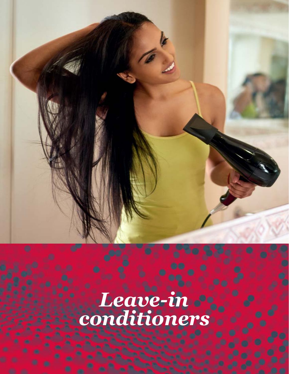

# *Leave-in conditioners*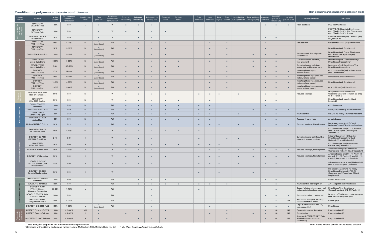### **Conditioning polymers – leave-in conditioners**

| Product<br>families | Products                                                   | Active<br>content | Recommended<br>use level in a<br>formulation | Conditioning<br>level* | Clear<br>products             | Anhydrous <sub></sub><br>water-based<br>formulation* | Enhanced<br>vet combing | Enhanced<br>dry combing | Enhanced dry<br>sensory feel | Enhanced<br>shine | Reduced<br>static | Color<br>protection | Heat<br>protection | Fast<br>drying | Frizz<br>control | Long-lasting<br>hydrophobicity | Ease and long-<br>lasting styling | Approved<br>for China | Low VM<br>$(<0.1\%$ in<br>D4 and D5) | Low VMS<br><0.1% in D6) | <b>Additional benefits</b>                                                     | <b>INCI name</b>                                                                                                            |
|---------------------|------------------------------------------------------------|-------------------|----------------------------------------------|------------------------|-------------------------------|------------------------------------------------------|-------------------------|-------------------------|------------------------------|-------------------|-------------------|---------------------|--------------------|----------------|------------------|--------------------------------|-----------------------------------|-----------------------|--------------------------------------|-------------------------|--------------------------------------------------------------------------------|-----------------------------------------------------------------------------------------------------------------------------|
|                     | XIAMETER™<br>OFX-0193 Fluid                                | 100%              | $1 - 5%$                                     |                        |                               | W                                                    |                         |                         | $\blacksquare$               |                   |                   |                     |                    |                |                  |                                |                                   | п.                    |                                      | $\Box$                  | Resin plasticizer                                                              | PEG-12 Dimethicone                                                                                                          |
|                     | XIAMETER™<br>OFX-5330 Fluid                                | 100%              | $1 - 5%$                                     |                        | ٠                             | W                                                    |                         | л.                      | $\blacksquare$               | $\blacksquare$    |                   |                     |                    |                |                  |                                |                                   |                       |                                      |                         |                                                                                | PEG/PPG-15/15 Acetate Dimethicone<br>(and) PEG/PPG-15/15 Allyl Ether Acetate<br>(and) PEG/PPG-15/15 Acetate                 |
|                     | DOWSIL™ CE-1874<br>Microemulsion                           | 30%               | $1 - 5%$                                     |                        | ٠                             | W                                                    |                         |                         | л.                           |                   |                   |                     |                    |                |                  |                                |                                   | - 8                   |                                      |                         |                                                                                | PEG-7 Dimethicone (and) Laureth-7 (and)<br>Polysorbate 20                                                                   |
|                     | XIAMETER™<br>PMX-1501 Fluid                                | 15%               | 2-20%                                        | M                      | (Anhydrous)                   | AW                                                   |                         |                         |                              | п                 |                   |                     |                    |                |                  |                                |                                   | -                     |                                      |                         | Reduced frizz                                                                  | Cyclopentasiloxane (and) Dimethiconol                                                                                       |
|                     | XIAMETER™<br>PMX-1503 Fluid                                | 12%               | 2-10%                                        | M                      | . .<br>(Anhydrous)            | AW                                                   |                         | п                       | л.                           | л                 |                   |                     | п                  |                | ٠                |                                |                                   | -                     |                                      |                         |                                                                                | Dimethicone (and) Dimethiconol                                                                                              |
|                     | DOWSIL™ CB 3046 Fluid                                      | 100%              | 5-15%                                        | M                      | (Anhydrous)                   | AW                                                   |                         |                         |                              |                   |                   |                     | п                  |                |                  |                                | ٠                                 |                       |                                      |                         | Volume control, fiber alignment,<br>curl definition                            | Dimethicone (and) Phenyl Trimethicone<br>(and) Trimethylsiloxysilicate (and)<br>Dimethiconol                                |
|                     | DOWSIL™ 3901<br><b>Liquid Satin Blend</b>                  | 6.25%             | 3-20%                                        | M                      | $\blacksquare$<br>(Anhydrous) | AW                                                   |                         | п.                      | п.                           | ٠                 | п                 |                     | п                  |                |                  |                                | ٠                                 |                       |                                      |                         | Curl retention and definition,<br>fiber alignment                              | Dimethicone (and) Dimethicone/Vinyl<br>Dimethicone Crosspolymer                                                             |
|                     | DOWSIL™ 3903<br><b>Liquid Satin Blend</b>                  | 7-8%              | $0.5 - 10%$                                  | M                      | (Anhydrous)                   | AW                                                   |                         |                         | л.                           | п                 | п                 |                     |                    |                |                  |                                | $\blacksquare$                    |                       |                                      |                         | Curl retention and definition,<br>reduce frizz and fly-away hairs              | Isododecane(and) Dimethicone/Vinyl<br>Dimethicone Crosspolymer                                                              |
|                     | <b>DOWSIL™</b><br>PMX-1504 Fluid                           | 27%               | 14-40%                                       | M                      | . .<br>(Anhydrous)            | AW                                                   |                         | л.                      | л.                           | <b>F</b>          |                   |                     | п                  |                | л.               |                                |                                   | -                     |                                      | <b>F</b>                | Imparts split end repair,<br>reduced friction                                  | C11-13 Isoparaffin (and) Isohexadecane<br>(and) Dimethiconol                                                                |
|                     | DOWSIL™<br>PMX-1505 Fluid                                  | 15%               | 20-60%                                       | M                      | $\blacksquare$<br>(Anhydrous) | AW                                                   |                         | ٠                       | - 11                         | п                 |                   |                     | ▬                  |                | п.               |                                |                                   | - 11                  |                                      |                         | Imparts split end repair, reduced<br>friction, volume control                  | Isododecane (and) Dimethiconol                                                                                              |
|                     | <b>DOWSIL™</b><br>PMX-1507 Fluid                           | 18.5%             | 4-55%                                        | M                      | . .<br>(Anhydrous)            | AW                                                   |                         | п                       | л.                           | п                 |                   |                     | п                  |                |                  |                                |                                   |                       |                                      | $\blacksquare$          | Imparts split end repair, reduced<br>friction, volume control                  | Dimethicone (and) Dimethiconol                                                                                              |
|                     | DOWSIL™<br>PMX-1508 Fluid                                  | 20.5%             | 5-44%                                        | M                      | <b>COL</b><br>(Anhydrous)     | AW                                                   |                         |                         | п.                           | п                 |                   |                     | ▬                  |                |                  |                                |                                   |                       |                                      |                         | Imparts split end repair, reduced<br>friction, volume control                  | C13-15 Alkane (and) Dimethiconol                                                                                            |
|                     | DOWSIL™ HMW 2220<br>Non-Ionic Emulsion                     | 60%               | $1 - 5%$                                     | M                      |                               | W                                                    |                         | л.                      | л.                           | п                 |                   | л.                  |                    | ٠              |                  |                                |                                   | . H                   |                                      |                         | Reduced breakage                                                               | Divinyldimethicone/Dimethicone<br>Copolymer (and) C12-13 Pareth-23 (and)<br>C12-13 Pareth-3                                 |
|                     | XIAMETER™<br>MEM-2664 Emulsion                             | 50%               | $1 - 5%$                                     | M                      |                               | W                                                    |                         |                         | л.                           |                   |                   |                     |                    |                |                  |                                |                                   |                       |                                      |                         |                                                                                | Dimethicone (and) Laureth-4 (and)<br>Laureth-23                                                                             |
|                     | DOWSIL™ 2-8566<br>Amino Fluid                              | 100%              | $1 - 5%$                                     | M                      |                               | AW                                                   |                         | п                       |                              | п                 | $\blacksquare$    |                     |                    |                |                  |                                |                                   |                       |                                      |                         |                                                                                | Amodimethicone                                                                                                              |
|                     | DOWSIL™ AP-8087 Fluid                                      | 100%              | $1 - 5%$                                     | M                      |                               | AW                                                   | п                       | п.                      | $\blacksquare$               | $\blacksquare$    | $\blacksquare$    | п.                  | п                  |                |                  |                                | $\blacksquare$                    |                       |                                      | п.                      |                                                                                | Bis-Hydroxy/Methoxy Amodimethicone                                                                                          |
|                     | DOWSIL™ 8500<br><b>Conditioning Agent</b>                  | 100%              | $2 - 6%$                                     | H                      | п                             | AW                                                   |                         |                         |                              | п                 |                   |                     |                    |                |                  |                                |                                   | п.                    |                                      |                         | Volume control                                                                 | Bis (C13-15 Alkoxy) PG Amodimethicone                                                                                       |
|                     | DOWSIL™ AP-8568<br>Amino Fluid                             | 100%              | $1 - 5%$                                     | M                      |                               | AW                                                   |                         | п                       | п.                           | п                 | п                 | п.                  |                    |                |                  |                                |                                   | - 11                  |                                      |                         | Reduced fly-away hairs                                                         | Amodimthicone                                                                                                               |
|                     | HydroxySHIELD™ Polymer                                     | 90%               | $1 - 2%$                                     | H                      | п                             | AW                                                   |                         |                         | $\blacksquare$               |                   |                   |                     |                    |                |                  |                                | п                                 |                       |                                      |                         | Reduced breakage, fiber alignment                                              | Bis-Diisopropanolamino-PG-Propyl<br>Disiloxane/Bis-Vinyl Dimethicone Copolymer                                              |
|                     | DOWSIL™ CE-8170<br>AF Microemulsion                        | 20%               | 2-10%                                        | M                      |                               | W                                                    |                         | ٠                       | ×                            | п                 | п                 |                     |                    |                |                  |                                |                                   | <b>D</b>              |                                      |                         |                                                                                | Amodimethicone (and) C11-15 Pareth-7<br>(and) Laureth-9 (and) Glycerin (and)<br>Trideceth-12                                |
|                     | DOWSIL™ CE-7081<br>/CE-7080 Smart Style                    | 24%               | $2 - 8%$                                     | H                      |                               | W                                                    |                         | ٠                       | $\blacksquare$               |                   |                   | л.                  |                    |                |                  |                                |                                   |                       |                                      |                         | Curl retention and definition, fiber<br>alignment, reduced breakage            | Silicone Quaternium-16/Glycidoxy<br>Dimethicone Crosspolymer (and)<br>Undeceth-11 (and) Undeceth-5                          |
|                     | XIAMETER™<br>MEM-0949 Emulsion                             | 36%               | $2 - 8%$                                     | H                      |                               | W                                                    |                         | ٠                       | л.                           | п                 | $\blacksquare$    | л.                  |                    | □              |                  |                                |                                   | - 11                  |                                      |                         |                                                                                | Amodimethicone (and) Cetrimonium<br>Chloride (and) Trideceth-12                                                             |
|                     | DOWSIL™ 969 Emulsion                                       | 30%               | 3-10%                                        | H                      |                               | W                                                    |                         |                         | - 8                          |                   |                   |                     | п                  |                |                  |                                | Ħ                                 |                       |                                      |                         | Reduced breakage, fiber alignment                                              | Amodimethicone (and) Cetrimonium<br>Chloride (and) Trideceth-3 (and) Trideceth-15                                           |
|                     | DOWSIL <sup>™</sup> 979 Emulsion                           | 50%               | $1 - 6%$                                     | H                      |                               | W                                                    | п                       | л.                      | <b>COL</b>                   | л.                |                   | <b>COL</b>          | п                  | ٠              |                  |                                | $\blacksquare$                    | л.                    |                                      | <b>FOR</b>              | Reduced breakage, fiber alignment                                              | Amodimethicone (and) C11-15 Alketh-12<br>(formerly C11-15 Pareth-12) (and) C11-15<br>Alketh-7 (formerly C11-15 Pareth-7)    |
|                     | DOWSIL™ 5-7113/<br>CE-7114 Silicone Quat<br>Microemulsion  | 22%               | $2 - 8%$                                     | H                      |                               | W                                                    |                         | $\mathbf{u}$            | <b>п.</b>                    |                   |                   | л.                  | п                  | ٠              |                  |                                |                                   | ×.                    |                                      |                         |                                                                                | Silicone Quaternium-16 (and) Undeceth-11<br>(and) Butyloctanol (and) Undeceth-5                                             |
|                     | DOWSIL™ CE-8411<br>Smooth Plus Emulsion                    | 56%               | $1 - 5%$                                     | H                      |                               | W                                                    |                         |                         |                              |                   |                   | л.                  |                    | п              |                  |                                | ٠                                 |                       |                                      |                         |                                                                                | Bis-Diisopropanolamino-PG-Propyl<br>Dimethicone/Bis-Isobutyl PEG-14<br>Copolymer (and) Polysorbate 20 (and)<br>Butyloctanol |
|                     | DOWSIL™ 556 Cosmetic<br>Grade Fluid                        | 100%              | $2 - 5%$                                     | $\mathbf{L}$           |                               | AW                                                   |                         | <b>A</b>                | . н.                         | $\pm$             |                   |                     |                    |                |                  |                                |                                   | $\blacksquare$        |                                      |                         |                                                                                | Phenyl Trimethicone                                                                                                         |
|                     | DOWSIL™ 2-2078 Fluid                                       | 100%              | $1 - 3%$                                     | $\mathsf{L}$           |                               | AW                                                   |                         | <b>A</b>                | <b>COL</b>                   | $\pm$             | <b>SOF</b>        | <b>COL</b>          | $\pm$              |                | <b>п.</b>        |                                |                                   |                       |                                      |                         | Volume control, fiber alignment                                                | Aminopropyl Phenyl Trimethicone                                                                                             |
|                     | DOWSIL™ 9509 /<br>PF-9510 Silicone<br>Elastomer Suspension | 65-68%            | 1-15%                                        | $\mathsf{L}$           |                               | AW                                                   |                         |                         | <b>A</b>                     |                   |                   | л.                  |                    |                |                  |                                |                                   |                       |                                      |                         | Sebum / oil absorption, powdery feel,<br>scalp moisturization, texture builder | Dimethicone/Vinyl Dimethicone<br>Crosspolymer (and) C12-14 Pareth-12                                                        |
|                     | DOWSIL™ EP-9801 Hydro<br><b>Cosmetic Powder</b>            | 100%              | $1 - 5%$                                     |                        |                               | AW                                                   |                         |                         | л.                           |                   |                   |                     |                    |                |                  |                                |                                   | $\blacksquare$        |                                      | <b>F</b>                | Sebum absorption, powdery feel                                                 | Dimethicone/Vinyl Dimethicone Crosspolymer<br>(and) Silica (and) Butylene Glycol                                            |
| ō                   | DOWSIL™ VM-2270<br><b>Aerogel Fine Particles</b>           | 100%              | $0.5 - 5%$                                   | $\mathsf{L}$           |                               | AW                                                   |                         |                         | л.                           |                   |                   |                     |                    |                |                  |                                |                                   |                       |                                      | <b>NA</b>               | Sebum / oil absorption, viscosity<br>enhancement of oil phase                  | Silica Silylate                                                                                                             |
|                     | DOWSIL™ OHX-0080 Fluid                                     | 100%              | 1-30%                                        | $\mathsf{L}$           | <b>COL</b><br>(Anhydrous)     | AW                                                   |                         |                         | л.                           |                   |                   |                     | $\blacksquare$     |                |                  |                                |                                   |                       |                                      | <b>F</b>                | Helps build viscosity in hair oils,<br>non-greasy effect                       | Dimethiconol                                                                                                                |
|                     | UCARE™ Polymer LR-30M                                      | 100%              | $0.2 - 0.4%$                                 | MH                     | л.                            |                                                      |                         | л.                      | <b>COL</b>                   | л.                |                   |                     |                    |                | <b>COL</b>       |                                |                                   | <b>COL</b>            | <b>NA</b>                            | <b>NA</b>               | Enhanced fragrance deposition                                                  | Polyquaternium-10                                                                                                           |
|                     | UCARE <sup>™</sup> Extreme Polymer                         | 100%              | $0.1 - 0.3\%$                                | H                      | $\blacksquare$                |                                                      |                         |                         |                              |                   |                   |                     | п                  |                | <b>A</b>         |                                | $\mathbf{H}$ .                    | - 11                  | <b>NA</b>                            | <b>NA</b>               | Curl retention                                                                 | Polyquaternium-10                                                                                                           |
|                     | SoftCAT™ SX-1300X Polymer 100%                             |                   | $0.2 - 0.4%$                                 | H                      | п                             |                                                      |                         |                         | ×                            | л                 |                   |                     |                    |                | п.               |                                |                                   |                       | <b>NA</b>                            | <b>NA</b>               | Synergy with FOAMYSENSE™ Water<br>Soluble Resins for enhanced<br>conditioning  | Polyquaternium-67                                                                                                           |

These are typical properties, not to be construed as specifications. Note: Blanks indicate benefits not yet tested or found

\*Compared within silicone and organic ranges; L=Low, M=Medium, MH=Medium High, H=High \*\* W= Water-Based, A=Anhydrous, AW=Both

### Hair cleansing and conditioning selection guide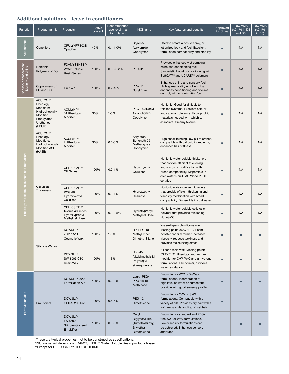### **Additional solutions – leave-in conditioners**

| Function                                       | Product family                                                                                        | <b>Products</b>                                                     | Active<br>content | Recommended<br>use level in a<br>formulation | <b>INCI name</b>                                                           | Key features and benefits                                                                                                                                                                       | Approved<br>for China | Low VMS<br>$< 0.1\%$ in D4<br>and D5) | Low VMS<br>(<0.1%<br>in $D6$ ) |
|------------------------------------------------|-------------------------------------------------------------------------------------------------------|---------------------------------------------------------------------|-------------------|----------------------------------------------|----------------------------------------------------------------------------|-------------------------------------------------------------------------------------------------------------------------------------------------------------------------------------------------|-----------------------|---------------------------------------|--------------------------------|
| Appearance                                     | Opacifiers                                                                                            | OPULYN™ 303B<br>Opacifier                                           | 40%               | $0.1 - 1.0%$                                 | Styrene/<br>Acrylamide<br>Copolymer                                        | Used to create a rich, creamy, or<br>lotionized look and feel. Excellent<br>formulation compatibility and stability                                                                             | ٠                     | <b>NA</b>                             | <b>NA</b>                      |
| Sensory enhancement-<br>lubricity and shine    | Nonionic<br>Polymers of EO                                                                            | FOAMYSENSE™<br><b>Water Soluble</b><br><b>Resin Series</b>          | 100%              | $0.05 - 0.2%$                                | PEG-X*                                                                     | Provides enhanced wet combing,<br>shine and conditioning feel.<br>Syngeristic boost of conditioning with<br>SoftCAT™ and UCARE™ polymers                                                        | ш                     | <b>NA</b>                             | <b>NA</b>                      |
|                                                | Copolymers of<br>EO and PO                                                                            | <b>Fluid AP</b>                                                     | 100%              | $0.2 - 10%$                                  | <b>PPG-14</b><br><b>Butyl Ether</b>                                        | Enhances shine and sensory feel.<br>High spreadability emollient that<br>enhances conditioning and volume<br>control, with smooth after-feel                                                    | п                     | <b>NA</b>                             | <b>NA</b>                      |
| Rheology modifiers, thickeners and texturizers | ACULYN™<br>Rheology<br>Modifiers:<br>Hydrophobially<br>Modified<br>Ethoxylated<br>Urethanes<br>(HEUR) | ACULYN™<br>44 Rheology<br>Modifier                                  | 35%               | $1 - 5%$                                     | PEG-150/Decyl<br>Alcohol/SMDI<br>Copolymer                                 | Nonionic. Good for difficult-to-<br>thicken systems. Excellent salt, pH<br>and cationic tolerance. Hydrophobic<br>materials needed with which to<br>associate. Creamy texture                   | $\blacksquare$        | <b>NA</b>                             | <b>NA</b>                      |
|                                                | ACULYN™<br>Rheology<br>Modifiers:<br>Hydrophobically<br><b>Modified ASE</b><br>(HASE)                 | ACULYN™<br>U Rheology<br>Modifier                                   | 30%               | $0.6 - 3%$                                   | Acrylates/<br>Beheneth-25<br>Methacrylate<br>Copolymer                     | High shear-thinning, low pH tolerance,<br>compatible with cationic ingredients,<br>enhances hair stiffness                                                                                      | п                     | <b>NA</b>                             | <b>NA</b>                      |
|                                                |                                                                                                       | CELLOSIZE™<br><b>QP</b> Series                                      | 100%              | $0.2 - 1%$                                   | Hydroxyethyl<br>Cellulose                                                  | Nonionic water-soluble thickeners<br>that provide efficient thickening<br>and viscosity modification with<br>broad compatibility. Dispersible in<br>cold water Non-GMO Wood PECF<br>certified** | п                     | <b>NA</b>                             | <b>NA</b>                      |
|                                                | Cellulosic<br>Thickeners                                                                              | CELLOSIZE™<br><b>PCG-10</b><br>Hydroxyethyl<br>Cellulose            | 100%              | $0.2 - 1%$                                   | Hydroxyethyl<br>Cellulose                                                  | Nonionic water-soluble thickeners<br>that provide efficient thickening and<br>viscosity modification with broad<br>compatibility. Dispersible in cold water                                     | ٠                     | <b>NA</b>                             | <b>NA</b>                      |
|                                                |                                                                                                       | CELLOSIZE™<br>Texture 40 series<br>Hydroxypropyl<br>Methylcellulose | 100%              | $0.2 - 0.5%$                                 | Hydroxypropyl<br>Methylcellulose                                           | Nonionic water-soluble cellulosic<br>polymer that provides thickening.<br>Non-GMO                                                                                                               | ٠                     | <b>NA</b>                             | <b>NA</b>                      |
|                                                | Silicone Waxes                                                                                        | DOWSIL™<br>2501/2511<br>Cosmetic Wax                                | 100%              | $1 - 5%$                                     | Bis-PEG-18<br>Methyl Ether<br>Dimethyl Silane                              | Water-dispersible silicone wax.<br>Melting point: 36°C-42°C. Foam<br>booster and film former Increases<br>viscosity, reduces tackiness and<br>provides moisturizing effect                      |                       |                                       |                                |
|                                                |                                                                                                       | <b>DOWSIL™</b><br>SW-8005 C30<br><b>Resin Wax</b>                   | 100%              | $1 - 3%$                                     | C30-45<br>Alkyldimethylsilyl<br>Polypropyl-<br>silsesquioxane              | Silicone resin wax. Melting point:<br>63°C-71°C. Rheology and texture<br>modifier for O/W, W/O and anhydrous<br>formulations. Film former, provides<br>water resistance                         | ٠                     |                                       |                                |
|                                                |                                                                                                       | DOWSIL™ 5200<br><b>Formulation Aid</b>                              | 100%              | $0.5 - 5%$                                   | Lauryl PEG/<br>PPG-18/18<br>Methicone                                      | Emulsifier for W/O or W/Wax<br>formulations. Incorporation of<br>high level of water or humectant<br>possible with good sensory profile                                                         |                       |                                       |                                |
| Formulation aids                               | <b>Emulsifiers</b>                                                                                    | <b>DOWSIL™</b><br>OFX-5329 Fluid                                    | 100%              | $0.5 - 5%$                                   | <b>PEG-12</b><br>Dimethicone                                               | Emulsifier for O/W or Si/W<br>formulations. Compatible with a<br>variety of oils. Provides dry hair with a<br>soft feel and detangling of wet hair                                              | п                     |                                       |                                |
|                                                |                                                                                                       | <b>DOWSIL™</b><br>ES-5600<br>Silicone Glycerol<br>Emulsifier        | 100%              | $0.5 - 5%$                                   | Cetyl<br>Diglyceryl Tris<br>(Trimethylsiloxy)<br>Silylether<br>Dimethicone | Emulsifier for standard and PEG-<br>free W/O or W/Si formulations.<br>Low-viscosity formulations can<br>be achieved. Enhances sensory<br>attributes                                             |                       |                                       |                                |

These are typical properties, not to be construed as specifications.

\*INCI name will depend on FOAMYSENSE™ Water Soluble Resin product chosen \*\*Except for CELLOSIZE™ HEC QP-100MH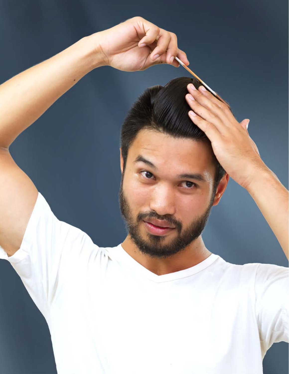